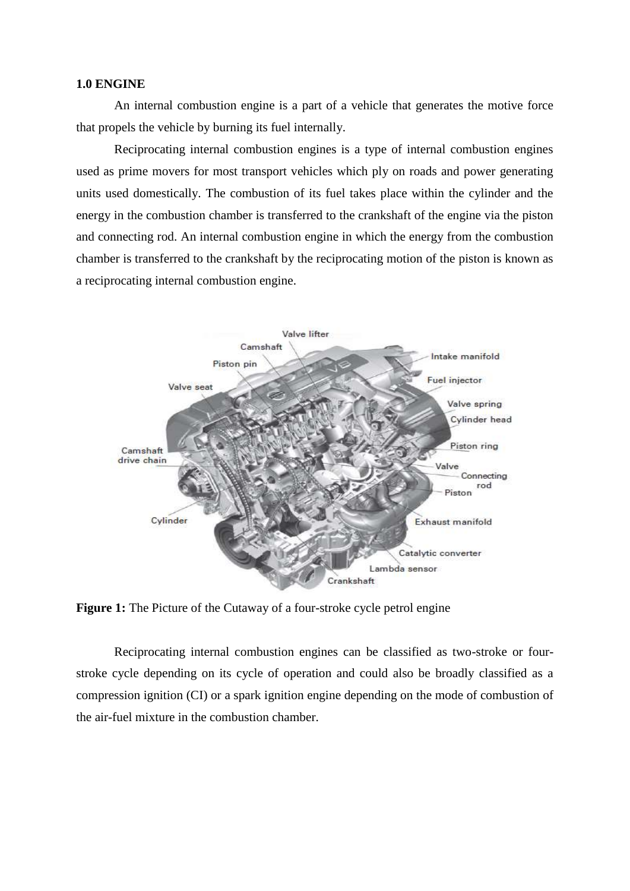## **1.0 ENGINE**

An internal combustion engine is a part of a vehicle that generates the motive force that propels the vehicle by burning its fuel internally.

Reciprocating internal combustion engines is a type of internal combustion engines used as prime movers for most transport vehicles which ply on roads and power generating units used domestically. The combustion of its fuel takes place within the cylinder and the energy in the combustion chamber is transferred to the crankshaft of the engine via the piston and connecting rod. An internal combustion engine in which the energy from the combustion chamber is transferred to the crankshaft by the reciprocating motion of the piston is known as a reciprocating internal combustion engine.



**Figure 1:** The Picture of the Cutaway of a four-stroke cycle petrol engine

Reciprocating internal combustion engines can be classified as two-stroke or fourstroke cycle depending on its cycle of operation and could also be broadly classified as a compression ignition (CI) or a spark ignition engine depending on the mode of combustion of the air-fuel mixture in the combustion chamber.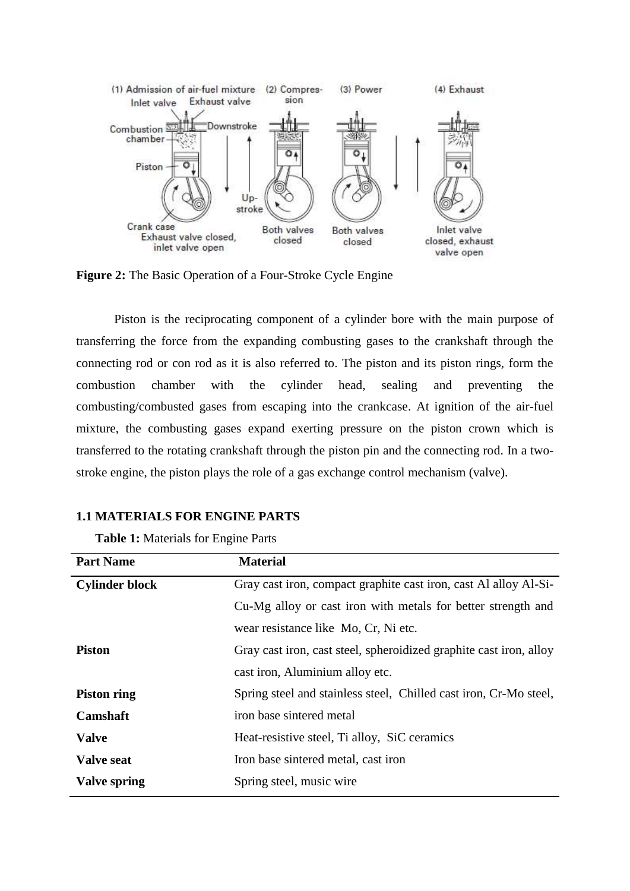

**Figure 2:** The Basic Operation of a Four-Stroke Cycle Engine

Piston is the reciprocating component of a cylinder bore with the main purpose of transferring the force from the expanding combusting gases to the crankshaft through the connecting rod or con rod as it is also referred to. The piston and its piston rings, form the combustion chamber with the cylinder head, sealing and preventing the combusting/combusted gases from escaping into the crankcase. At ignition of the air-fuel mixture, the combusting gases expand exerting pressure on the piston crown which is transferred to the rotating crankshaft through the piston pin and the connecting rod. In a twostroke engine, the piston plays the role of a gas exchange control mechanism (valve).

## **1.1 MATERIALS FOR ENGINE PARTS**

| <b>Table 1:</b> Materials for Engine Parts |  |
|--------------------------------------------|--|
|--------------------------------------------|--|

| <b>Part Name</b>      | <b>Material</b>                                                    |
|-----------------------|--------------------------------------------------------------------|
| <b>Cylinder block</b> | Gray cast iron, compact graphite cast iron, cast Al alloy Al-Si-   |
|                       | Cu-Mg alloy or cast iron with metals for better strength and       |
|                       | wear resistance like Mo, Cr, Ni etc.                               |
| <b>Piston</b>         | Gray cast iron, cast steel, spheroidized graphite cast iron, alloy |
|                       | cast iron, Aluminium alloy etc.                                    |
| <b>Piston ring</b>    | Spring steel and stainless steel, Chilled cast iron, Cr-Mo steel,  |
| <b>Camshaft</b>       | iron base sintered metal                                           |
| <b>Valve</b>          | Heat-resistive steel, Ti alloy, SiC ceramics                       |
| <b>Valve seat</b>     | Iron base sintered metal, cast iron                                |
| <b>Valve spring</b>   | Spring steel, music wire                                           |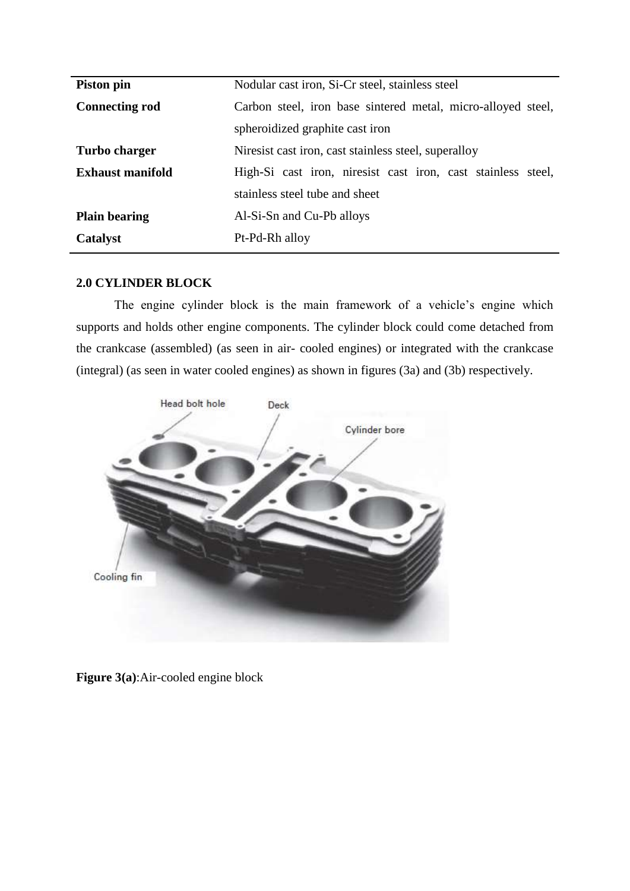| Nodular cast iron, Si-Cr steel, stainless steel<br>Piston pin                           |  |
|-----------------------------------------------------------------------------------------|--|
| Carbon steel, iron base sintered metal, micro-alloyed steel,<br><b>Connecting rod</b>   |  |
| spheroidized graphite cast iron                                                         |  |
| <b>Turbo charger</b><br>Niresist cast iron, cast stainless steel, superalloy            |  |
| <b>Exhaust manifold</b><br>High-Si cast iron, niresist cast iron, cast stainless steel, |  |
| stainless steel tube and sheet                                                          |  |
| Al-Si-Sn and Cu-Pb alloys<br><b>Plain bearing</b>                                       |  |
| Catalyst<br>Pt-Pd-Rh alloy                                                              |  |

## **2.0 CYLINDER BLOCK**

The engine cylinder block is the main framework of a vehicle's engine which supports and holds other engine components. The cylinder block could come detached from the crankcase (assembled) (as seen in air- cooled engines) or integrated with the crankcase (integral) (as seen in water cooled engines) as shown in figures (3a) and (3b) respectively.



**Figure 3(a)**:Air-cooled engine block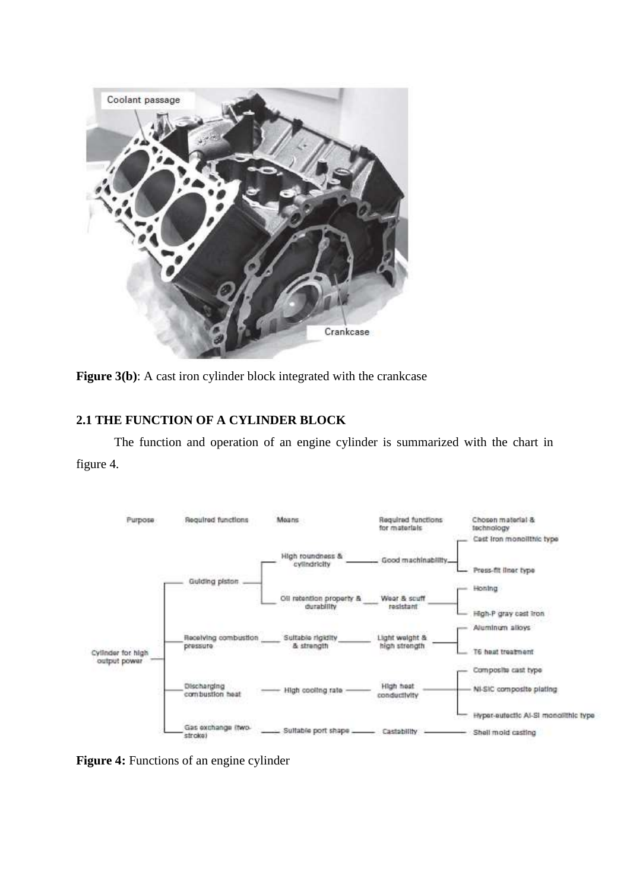

**Figure 3(b):** A cast iron cylinder block integrated with the crankcase

## **2.1 THE FUNCTION OF A CYLINDER BLOCK**

The function and operation of an engine cylinder is summarized with the chart in figure 4.



**Figure 4:** Functions of an engine cylinder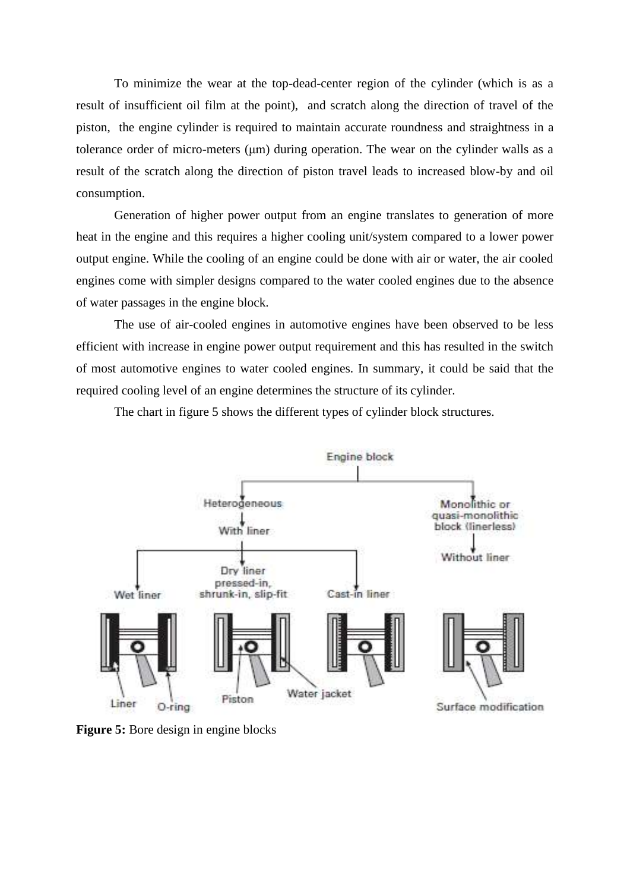To minimize the wear at the top-dead-center region of the cylinder (which is as a result of insufficient oil film at the point), and scratch along the direction of travel of the piston, the engine cylinder is required to maintain accurate roundness and straightness in a tolerance order of micro-meters (μm) during operation. The wear on the cylinder walls as a result of the scratch along the direction of piston travel leads to increased blow-by and oil consumption.

Generation of higher power output from an engine translates to generation of more heat in the engine and this requires a higher cooling unit/system compared to a lower power output engine. While the cooling of an engine could be done with air or water, the air cooled engines come with simpler designs compared to the water cooled engines due to the absence of water passages in the engine block.

The use of air-cooled engines in automotive engines have been observed to be less efficient with increase in engine power output requirement and this has resulted in the switch of most automotive engines to water cooled engines. In summary, it could be said that the required cooling level of an engine determines the structure of its cylinder.

The chart in figure 5 shows the different types of cylinder block structures.



**Figure 5:** Bore design in engine blocks